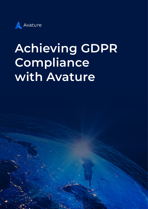

# **Achieving GDPR Compliance with Avature**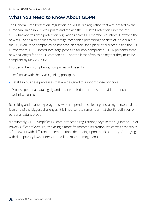# **What You Need to Know About GDPR**

The General Data Protection Regulation, or GDPR, is a regulation that was passed by the European Union in 2016 to update and replace the EU Data Protection Directive of 1995. GDPR harmonizes data protection regulations across EU member countries. However, the new regulation also applies to all foreign companies processing the data of individuals in the EU, even if the companies do not have an established place of business inside the EU. Furthermore, GDPR introduces large penalties for non-compliance. GDPR presents some new challenges for non-EU companies — not the least of which being that they must be compliant by May 25, 2018.

In order to be in compliance, companies will need to:

- **·** Be familiar with the GDPR guiding principles
- **·** Establish business processes that are designed to support those principles
- **·** Process personal data legally and ensure their data processor provides adequate technical controls

Recruiting and marketing programs, which depend on collecting and using personal data, face one of the biggest challenges. It is important to remember that the EU definition of personal data is broad.

"Fortunately, GDPR simplifies EU data protection regulations," says Beatriz Quintana, Chief Privacy Officer of Avature, "replacing a more fragmented legislation, which was essentially a framework with different implementations depending upon the EU country. Complying with data privacy laws under GDPR will be more homogeneous."

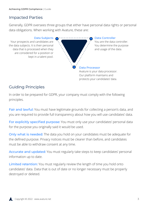# Impacted Parties

Generally, GDPR oversees three groups that either have personal data rights or personal data obligations. When working with Avature, these are:

Data Subjects Your prospects and candidates are the data subjects. It is their personal data that is processed when they are considered for a position or kept in a talent pool.



#### Data Controller

You are the data controller. You determine the purpose and usage of the data.

Our platform maintains and protects your candidates' data.

## Guiding Principles

In order to be prepared for GDPR, your company must comply with the following principles.

Fair and lawful: You must have legitimate grounds for collecting a person's data, and you are required to provide full transparency about how you will use candidates' data.

For explicitly specified purpose: You must only use your candidates' personal data for the purpose you originally said it would be used.

Only what is needed: The data you hold on your candidates must be adequate for the defined purpose. Privacy notices must be clearer than before, and candidates must be able to withdraw consent at any time.

Accurate and updated: You must regularly take steps to keep candidates' personal information up to date.

Limited retention: You must regularly review the length of time you hold onto candidates' data. Data that is out of date or no longer necessary must be properly destroyed or deleted.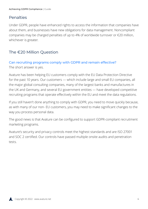### Penalties

Under GDPR, people have enhanced rights to access the information that companies have about them, and businesses have new obligations for data management. Noncompliant companies may be charged penalties of up to 4% of worldwide turnover or €20 million, whichever is greater.

## The €20 Million Question

#### Can recruiting programs comply with GDPR and remain effective? The short answer is yes.

Avature has been helping EU customers comply with the EU Data Protection Directive for the past 10 years. Our customers — which include large and small EU companies, all the major global consulting companies, many of the largest banks and manufactures in the UK and Germany, and several EU government entities — have developed competitive recruiting programs that operate effectively within the EU and meet the data regulations.

If you still haven't done anything to comply with GDPR, you need to move quickly because, as with many of our non- EU customers, you may need to make significant changes to the way you process personal data.

The good news is that Avature can be configured to support GDPR-compliant recruitment marketing programs.

Avature's security and privacy controls meet the highest standards and are ISO 27001 and SOC 2 certified. Our controls have passed multiple onsite audits and penetration tests.

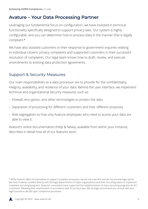# **Avature – Your Data Processing Partner**

Leveraging our fundamental focus on configuration, we have invested in technical functionality specifically designed to support privacy laws. Our system is highly configurable, and you can determine how to process data in the manner that is legally compliant.\*

We have also assisted customers in their response to government inquiries relating to individual citizens' privacy complaints and supported customers in their successful resolution of complaints. Our legal team knows how to draft, review, and execute amendments to existing data protection agreements.

### Support & Security Measures

Our main responsibilities as a data processor are to provide for the confidentiality, integrity, availability, and resilience of your data. Behind the user interface, we implement technical and organizational security measures such as:

- **·** Firewall, encryption, and other technologies to protect the data
- **·** Separation of processing for different customers and their different purposes
- **·** Role segregation so that only Avature employees who need to access your data are able to view it.

Avature's online documentation (Help & News), available from within your instance, describes in detail how all of our features work.

<sup>\*</sup> While Avature offers functionalities to support compliant processes, we are not a law firm and do not provide legal advice. We have, however, worked directly with the legal departments of major organizations and their recruiting teams to implement compliant recruiting programs. Avature's consultants have supported the implementation of many recruiting programs for EU customers, following their requirements in accordance with EU privacy laws. We strongly recommend you consult with your legal counsel to decide upon compliance processes.